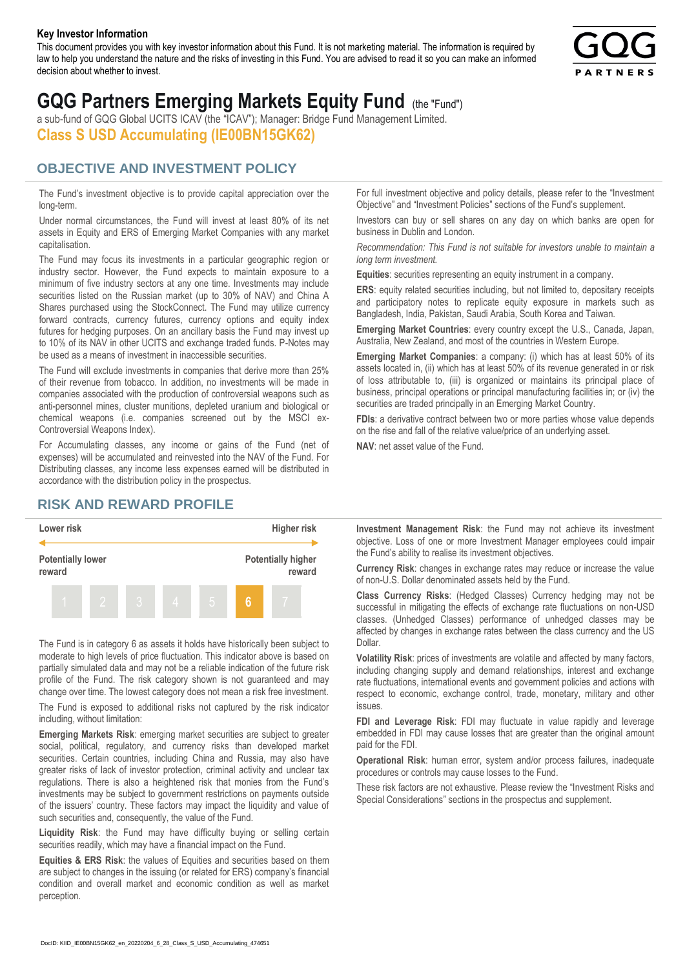#### **Key Investor Information**

This document provides you with key investor information about this Fund. It is not marketing material. The information is required by law to help you understand the nature and the risks of investing in this Fund. You are advised to read it so you can make an informed decision about whether to invest.



# **GQG Partners Emerging Markets Equity Fund** (the "Fund")

a sub-fund of GQG Global UCITS ICAV (the "ICAV"); Manager: Bridge Fund Management Limited. **Class S USD Accumulating (IE00BN15GK62)**

### **OBJECTIVE AND INVESTMENT POLICY**

The Fund's investment objective is to provide capital appreciation over the long-term.

Under normal circumstances, the Fund will invest at least 80% of its net assets in Equity and ERS of Emerging Market Companies with any market capitalisation.

The Fund may focus its investments in a particular geographic region or industry sector. However, the Fund expects to maintain exposure to a minimum of five industry sectors at any one time. Investments may include securities listed on the Russian market (up to 30% of NAV) and China A Shares purchased using the StockConnect. The Fund may utilize currency forward contracts, currency futures, currency options and equity index futures for hedging purposes. On an ancillary basis the Fund may invest up to 10% of its NAV in other UCITS and exchange traded funds. P-Notes may be used as a means of investment in inaccessible securities.

The Fund will exclude investments in companies that derive more than 25% of their revenue from tobacco. In addition, no investments will be made in companies associated with the production of controversial weapons such as anti-personnel mines, cluster munitions, depleted uranium and biological or chemical weapons (i.e. companies screened out by the MSCI ex-Controversial Weapons Index).

For Accumulating classes, any income or gains of the Fund (net of expenses) will be accumulated and reinvested into the NAV of the Fund. For Distributing classes, any income less expenses earned will be distributed in accordance with the distribution policy in the prospectus.

## **RISK AND REWARD PROFILE**



The Fund is in category 6 as assets it holds have historically been subject to moderate to high levels of price fluctuation. This indicator above is based on partially simulated data and may not be a reliable indication of the future risk profile of the Fund. The risk category shown is not guaranteed and may change over time. The lowest category does not mean a risk free investment.

The Fund is exposed to additional risks not captured by the risk indicator including, without limitation:

**Emerging Markets Risk**: emerging market securities are subject to greater social, political, regulatory, and currency risks than developed market securities. Certain countries, including China and Russia, may also have greater risks of lack of investor protection, criminal activity and unclear tax regulations. There is also a heightened risk that monies from the Fund's investments may be subject to government restrictions on payments outside of the issuers' country. These factors may impact the liquidity and value of such securities and, consequently, the value of the Fund.

**Liquidity Risk**: the Fund may have difficulty buying or selling certain securities readily, which may have a financial impact on the Fund.

**Equities & ERS Risk**: the values of Equities and securities based on them are subject to changes in the issuing (or related for ERS) company's financial condition and overall market and economic condition as well as market perception.

For full investment objective and policy details, please refer to the "Investment Objective" and "Investment Policies" sections of the Fund's supplement.

Investors can buy or sell shares on any day on which banks are open for business in Dublin and London.

*Recommendation: This Fund is not suitable for investors unable to maintain a long term investment.*

**Equities**: securities representing an equity instrument in a company.

**ERS:** equity related securities including, but not limited to, depositary receipts and participatory notes to replicate equity exposure in markets such as Bangladesh, India, Pakistan, Saudi Arabia, South Korea and Taiwan.

**Emerging Market Countries**: every country except the U.S., Canada, Japan, Australia, New Zealand, and most of the countries in Western Europe.

**Emerging Market Companies**: a company: (i) which has at least 50% of its assets located in, (ii) which has at least 50% of its revenue generated in or risk of loss attributable to, (iii) is organized or maintains its principal place of business, principal operations or principal manufacturing facilities in; or (iv) the securities are traded principally in an Emerging Market Country.

**FDIs**: a derivative contract between two or more parties whose value depends on the rise and fall of the relative value/price of an underlying asset.

**NAV**: net asset value of the Fund.

**Investment Management Risk**: the Fund may not achieve its investment objective. Loss of one or more Investment Manager employees could impair the Fund's ability to realise its investment objectives.

**Currency Risk**: changes in exchange rates may reduce or increase the value of non-U.S. Dollar denominated assets held by the Fund.

**Class Currency Risks**: (Hedged Classes) Currency hedging may not be successful in mitigating the effects of exchange rate fluctuations on non-USD classes. (Unhedged Classes) performance of unhedged classes may be affected by changes in exchange rates between the class currency and the US Dollar.

**Volatility Risk**: prices of investments are volatile and affected by many factors, including changing supply and demand relationships, interest and exchange rate fluctuations, international events and government policies and actions with respect to economic, exchange control, trade, monetary, military and other issues.

**FDI and Leverage Risk**: FDI may fluctuate in value rapidly and leverage embedded in FDI may cause losses that are greater than the original amount paid for the FDI.

**Operational Risk**: human error, system and/or process failures, inadequate procedures or controls may cause losses to the Fund.

These risk factors are not exhaustive. Please review the "Investment Risks and Special Considerations" sections in the prospectus and supplement.